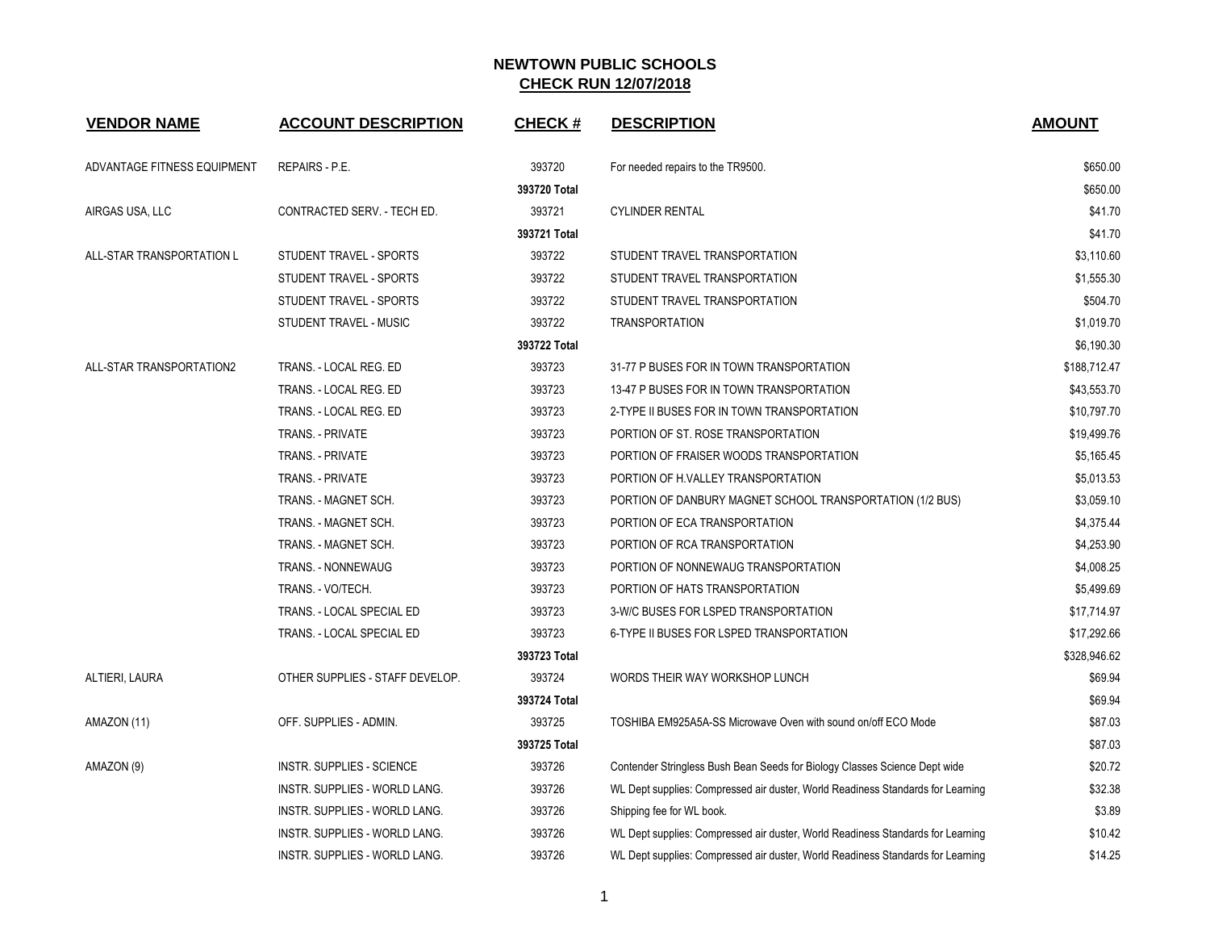| <b>VENDOR NAME</b>          | <b>ACCOUNT DESCRIPTION</b>      | <b>CHECK#</b> | <b>DESCRIPTION</b>                                                              | <b>AMOUNT</b> |
|-----------------------------|---------------------------------|---------------|---------------------------------------------------------------------------------|---------------|
| ADVANTAGE FITNESS EQUIPMENT | <b>REPAIRS - P.E.</b>           | 393720        | For needed repairs to the TR9500.                                               | \$650.00      |
|                             |                                 | 393720 Total  |                                                                                 | \$650.00      |
| AIRGAS USA, LLC             | CONTRACTED SERV. - TECH ED.     | 393721        | <b>CYLINDER RENTAL</b>                                                          | \$41.70       |
|                             |                                 | 393721 Total  |                                                                                 | \$41.70       |
| ALL-STAR TRANSPORTATION L   | STUDENT TRAVEL - SPORTS         | 393722        | STUDENT TRAVEL TRANSPORTATION                                                   | \$3,110.60    |
|                             | STUDENT TRAVEL - SPORTS         | 393722        | STUDENT TRAVEL TRANSPORTATION                                                   | \$1,555.30    |
|                             | STUDENT TRAVEL - SPORTS         | 393722        | STUDENT TRAVEL TRANSPORTATION                                                   | \$504.70      |
|                             | STUDENT TRAVEL - MUSIC          | 393722        | <b>TRANSPORTATION</b>                                                           | \$1,019.70    |
|                             |                                 | 393722 Total  |                                                                                 | \$6,190.30    |
| ALL-STAR TRANSPORTATION2    | TRANS. - LOCAL REG. ED          | 393723        | 31-77 P BUSES FOR IN TOWN TRANSPORTATION                                        | \$188,712.47  |
|                             | TRANS. - LOCAL REG. ED          | 393723        | 13-47 P BUSES FOR IN TOWN TRANSPORTATION                                        | \$43,553.70   |
|                             | TRANS. - LOCAL REG. ED          | 393723        | 2-TYPE II BUSES FOR IN TOWN TRANSPORTATION                                      | \$10,797.70   |
|                             | TRANS. - PRIVATE                | 393723        | PORTION OF ST. ROSE TRANSPORTATION                                              | \$19,499.76   |
|                             | TRANS. - PRIVATE                | 393723        | PORTION OF FRAISER WOODS TRANSPORTATION                                         | \$5,165.45    |
|                             | <b>TRANS. - PRIVATE</b>         | 393723        | PORTION OF H.VALLEY TRANSPORTATION                                              | \$5,013.53    |
|                             | TRANS. - MAGNET SCH.            | 393723        | PORTION OF DANBURY MAGNET SCHOOL TRANSPORTATION (1/2 BUS)                       | \$3,059.10    |
|                             | TRANS. - MAGNET SCH.            | 393723        | PORTION OF ECA TRANSPORTATION                                                   | \$4,375.44    |
|                             | TRANS. - MAGNET SCH.            | 393723        | PORTION OF RCA TRANSPORTATION                                                   | \$4,253.90    |
|                             | TRANS. - NONNEWAUG              | 393723        | PORTION OF NONNEWAUG TRANSPORTATION                                             | \$4,008.25    |
|                             | TRANS. - VO/TECH.               | 393723        | PORTION OF HATS TRANSPORTATION                                                  | \$5,499.69    |
|                             | TRANS. - LOCAL SPECIAL ED       | 393723        | 3-W/C BUSES FOR LSPED TRANSPORTATION                                            | \$17,714.97   |
|                             | TRANS. - LOCAL SPECIAL ED       | 393723        | 6-TYPE II BUSES FOR LSPED TRANSPORTATION                                        | \$17,292.66   |
|                             |                                 | 393723 Total  |                                                                                 | \$328,946.62  |
| ALTIERI, LAURA              | OTHER SUPPLIES - STAFF DEVELOP. | 393724        | WORDS THEIR WAY WORKSHOP LUNCH                                                  | \$69.94       |
|                             |                                 | 393724 Total  |                                                                                 | \$69.94       |
| AMAZON (11)                 | OFF. SUPPLIES - ADMIN.          | 393725        | TOSHIBA EM925A5A-SS Microwave Oven with sound on/off ECO Mode                   | \$87.03       |
|                             |                                 | 393725 Total  |                                                                                 | \$87.03       |
| AMAZON (9)                  | INSTR. SUPPLIES - SCIENCE       | 393726        | Contender Stringless Bush Bean Seeds for Biology Classes Science Dept wide      | \$20.72       |
|                             | INSTR. SUPPLIES - WORLD LANG.   | 393726        | WL Dept supplies: Compressed air duster, World Readiness Standards for Learning | \$32.38       |
|                             | INSTR. SUPPLIES - WORLD LANG.   | 393726        | Shipping fee for WL book.                                                       | \$3.89        |
|                             | INSTR. SUPPLIES - WORLD LANG.   | 393726        | WL Dept supplies: Compressed air duster, World Readiness Standards for Learning | \$10.42       |
|                             | INSTR. SUPPLIES - WORLD LANG.   | 393726        | WL Dept supplies: Compressed air duster, World Readiness Standards for Learning | \$14.25       |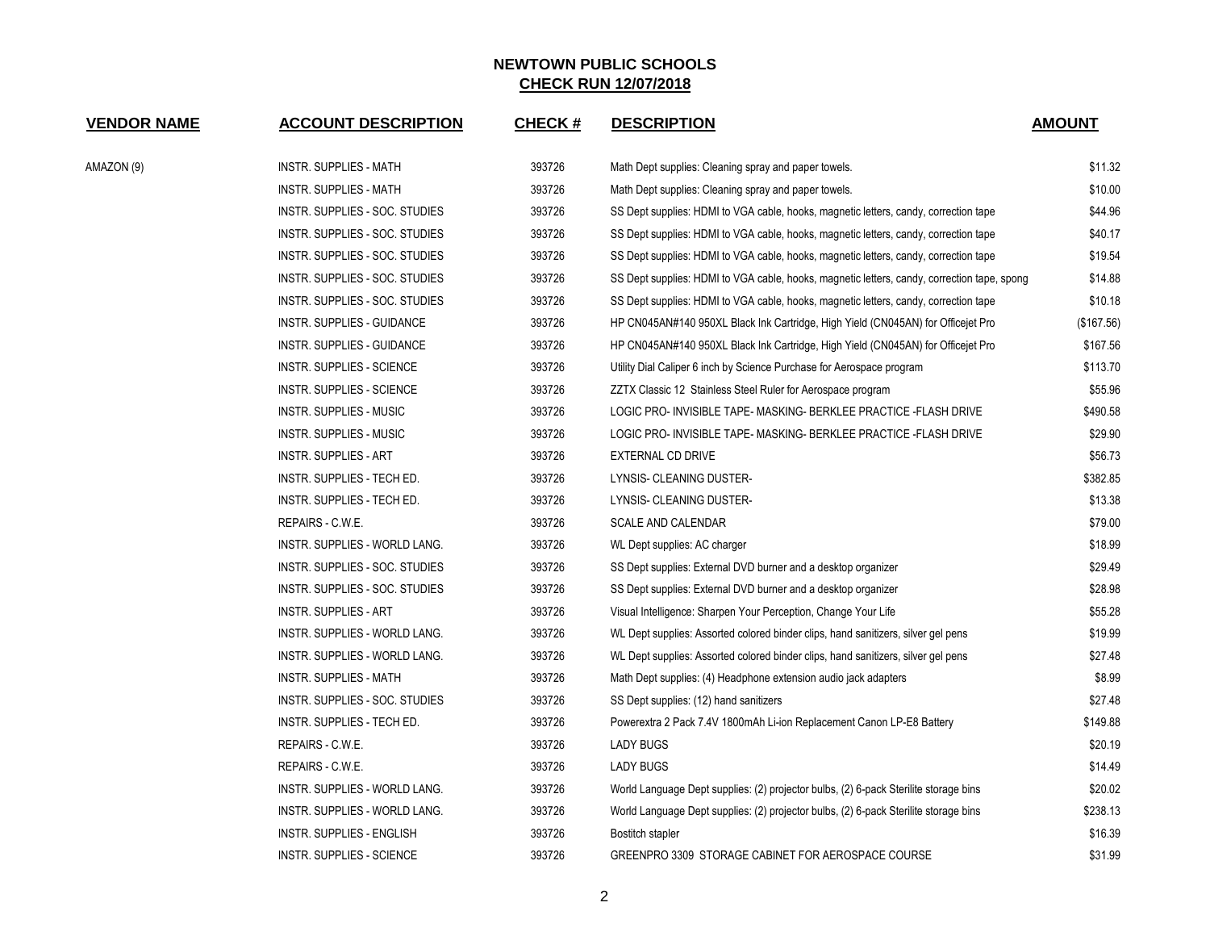| <b>VENDOR NAME</b> | <b>ACCOUNT DESCRIPTION</b>       | CHECK # | <b>DESCRIPTION</b>                                                                          | <b>AMOUNT</b> |
|--------------------|----------------------------------|---------|---------------------------------------------------------------------------------------------|---------------|
| AMAZON (9)         | INSTR. SUPPLIES - MATH           | 393726  | Math Dept supplies: Cleaning spray and paper towels.                                        | \$11.32       |
|                    | <b>INSTR. SUPPLIES - MATH</b>    | 393726  | Math Dept supplies: Cleaning spray and paper towels.                                        | \$10.00       |
|                    | INSTR. SUPPLIES - SOC. STUDIES   | 393726  | SS Dept supplies: HDMI to VGA cable, hooks, magnetic letters, candy, correction tape        | \$44.96       |
|                    | INSTR. SUPPLIES - SOC. STUDIES   | 393726  | SS Dept supplies: HDMI to VGA cable, hooks, magnetic letters, candy, correction tape        | \$40.17       |
|                    | INSTR. SUPPLIES - SOC. STUDIES   | 393726  | SS Dept supplies: HDMI to VGA cable, hooks, magnetic letters, candy, correction tape        | \$19.54       |
|                    | INSTR. SUPPLIES - SOC. STUDIES   | 393726  | SS Dept supplies: HDMI to VGA cable, hooks, magnetic letters, candy, correction tape, spong | \$14.88       |
|                    | INSTR. SUPPLIES - SOC. STUDIES   | 393726  | SS Dept supplies: HDMI to VGA cable, hooks, magnetic letters, candy, correction tape        | \$10.18       |
|                    | INSTR. SUPPLIES - GUIDANCE       | 393726  | HP CN045AN#140 950XL Black Ink Cartridge, High Yield (CN045AN) for Officejet Pro            | (\$167.56)    |
|                    | INSTR. SUPPLIES - GUIDANCE       | 393726  | HP CN045AN#140 950XL Black Ink Cartridge, High Yield (CN045AN) for Officejet Pro            | \$167.56      |
|                    | INSTR. SUPPLIES - SCIENCE        | 393726  | Utility Dial Caliper 6 inch by Science Purchase for Aerospace program                       | \$113.70      |
|                    | INSTR. SUPPLIES - SCIENCE        | 393726  | ZZTX Classic 12 Stainless Steel Ruler for Aerospace program                                 | \$55.96       |
|                    | <b>INSTR. SUPPLIES - MUSIC</b>   | 393726  | LOGIC PRO- INVISIBLE TAPE- MASKING- BERKLEE PRACTICE - FLASH DRIVE                          | \$490.58      |
|                    | INSTR. SUPPLIES - MUSIC          | 393726  | LOGIC PRO- INVISIBLE TAPE- MASKING- BERKLEE PRACTICE -FLASH DRIVE                           | \$29.90       |
|                    | INSTR. SUPPLIES - ART            | 393726  | EXTERNAL CD DRIVE                                                                           | \$56.73       |
|                    | INSTR. SUPPLIES - TECH ED.       | 393726  | LYNSIS- CLEANING DUSTER-                                                                    | \$382.85      |
|                    | INSTR. SUPPLIES - TECH ED.       | 393726  | LYNSIS- CLEANING DUSTER-                                                                    | \$13.38       |
|                    | REPAIRS - C.W.E.                 | 393726  | <b>SCALE AND CALENDAR</b>                                                                   | \$79.00       |
|                    | INSTR. SUPPLIES - WORLD LANG.    | 393726  | WL Dept supplies: AC charger                                                                | \$18.99       |
|                    | INSTR. SUPPLIES - SOC. STUDIES   | 393726  | SS Dept supplies: External DVD burner and a desktop organizer                               | \$29.49       |
|                    | INSTR. SUPPLIES - SOC. STUDIES   | 393726  | SS Dept supplies: External DVD burner and a desktop organizer                               | \$28.98       |
|                    | INSTR. SUPPLIES - ART            | 393726  | Visual Intelligence: Sharpen Your Perception, Change Your Life                              | \$55.28       |
|                    | INSTR. SUPPLIES - WORLD LANG.    | 393726  | WL Dept supplies: Assorted colored binder clips, hand sanitizers, silver gel pens           | \$19.99       |
|                    | INSTR. SUPPLIES - WORLD LANG.    | 393726  | WL Dept supplies: Assorted colored binder clips, hand sanitizers, silver gel pens           | \$27.48       |
|                    | <b>INSTR. SUPPLIES - MATH</b>    | 393726  | Math Dept supplies: (4) Headphone extension audio jack adapters                             | \$8.99        |
|                    | INSTR. SUPPLIES - SOC. STUDIES   | 393726  | SS Dept supplies: (12) hand sanitizers                                                      | \$27.48       |
|                    | INSTR. SUPPLIES - TECH ED.       | 393726  | Powerextra 2 Pack 7.4V 1800mAh Li-ion Replacement Canon LP-E8 Battery                       | \$149.88      |
|                    | REPAIRS - C.W.E.                 | 393726  | <b>LADY BUGS</b>                                                                            | \$20.19       |
|                    | REPAIRS - C.W.E.                 | 393726  | <b>LADY BUGS</b>                                                                            | \$14.49       |
|                    | INSTR. SUPPLIES - WORLD LANG.    | 393726  | World Language Dept supplies: (2) projector bulbs, (2) 6-pack Sterilite storage bins        | \$20.02       |
|                    | INSTR. SUPPLIES - WORLD LANG.    | 393726  | World Language Dept supplies: (2) projector bulbs, (2) 6-pack Sterilite storage bins        | \$238.13      |
|                    | <b>INSTR. SUPPLIES - ENGLISH</b> | 393726  | Bostitch stapler                                                                            | \$16.39       |
|                    | <b>INSTR. SUPPLIES - SCIENCE</b> | 393726  | GREENPRO 3309 STORAGE CABINET FOR AEROSPACE COURSE                                          | \$31.99       |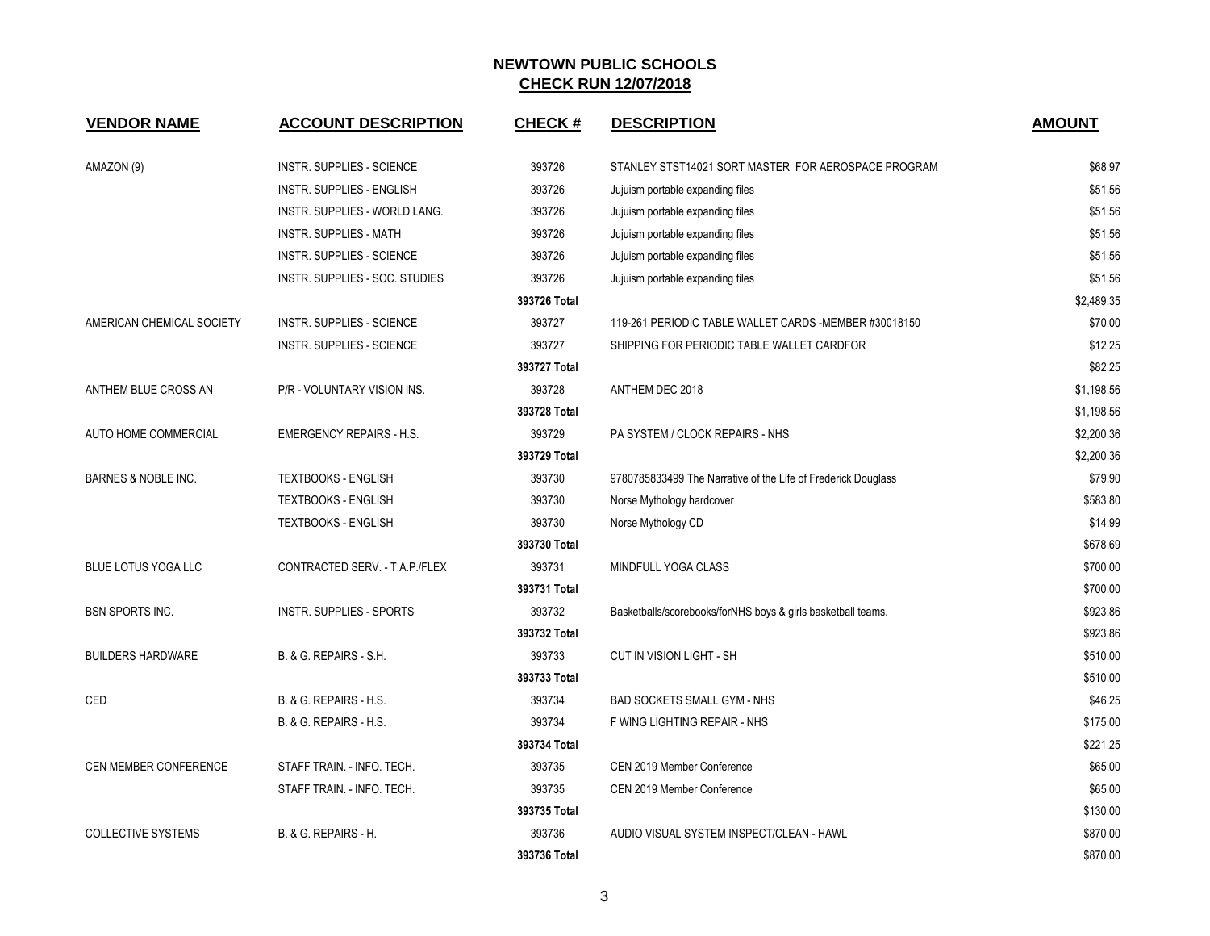| <b>VENDOR NAME</b>             | <b>ACCOUNT DESCRIPTION</b>       | <b>CHECK#</b> | <b>DESCRIPTION</b>                                            | <b>AMOUNT</b> |
|--------------------------------|----------------------------------|---------------|---------------------------------------------------------------|---------------|
| AMAZON (9)                     | INSTR. SUPPLIES - SCIENCE        | 393726        | STANLEY STST14021 SORT MASTER FOR AEROSPACE PROGRAM           | \$68.97       |
|                                | <b>INSTR. SUPPLIES - ENGLISH</b> | 393726        | Jujuism portable expanding files                              | \$51.56       |
|                                | INSTR. SUPPLIES - WORLD LANG.    | 393726        | Jujuism portable expanding files                              | \$51.56       |
|                                | <b>INSTR. SUPPLIES - MATH</b>    | 393726        | Jujuism portable expanding files                              | \$51.56       |
|                                | INSTR. SUPPLIES - SCIENCE        | 393726        | Jujuism portable expanding files                              | \$51.56       |
|                                | INSTR. SUPPLIES - SOC. STUDIES   | 393726        | Jujuism portable expanding files                              | \$51.56       |
|                                |                                  | 393726 Total  |                                                               | \$2,489.35    |
| AMERICAN CHEMICAL SOCIETY      | INSTR. SUPPLIES - SCIENCE        | 393727        | 119-261 PERIODIC TABLE WALLET CARDS -MEMBER #30018150         | \$70.00       |
|                                | <b>INSTR. SUPPLIES - SCIENCE</b> | 393727        | SHIPPING FOR PERIODIC TABLE WALLET CARDFOR                    | \$12.25       |
|                                |                                  | 393727 Total  |                                                               | \$82.25       |
| ANTHEM BLUE CROSS AN           | P/R - VOLUNTARY VISION INS.      | 393728        | ANTHEM DEC 2018                                               | \$1,198.56    |
|                                |                                  | 393728 Total  |                                                               | \$1,198.56    |
| AUTO HOME COMMERCIAL           | <b>EMERGENCY REPAIRS - H.S.</b>  | 393729        | PA SYSTEM / CLOCK REPAIRS - NHS                               | \$2,200.36    |
|                                |                                  | 393729 Total  |                                                               | \$2,200.36    |
| <b>BARNES &amp; NOBLE INC.</b> | <b>TEXTBOOKS - ENGLISH</b>       | 393730        | 9780785833499 The Narrative of the Life of Frederick Douglass | \$79.90       |
|                                | <b>TEXTBOOKS - ENGLISH</b>       | 393730        | Norse Mythology hardcover                                     | \$583.80      |
|                                | <b>TEXTBOOKS - ENGLISH</b>       | 393730        | Norse Mythology CD                                            | \$14.99       |
|                                |                                  | 393730 Total  |                                                               | \$678.69      |
| <b>BLUE LOTUS YOGA LLC</b>     | CONTRACTED SERV. - T.A.P./FLEX   | 393731        | MINDFULL YOGA CLASS                                           | \$700.00      |
|                                |                                  | 393731 Total  |                                                               | \$700.00      |
| <b>BSN SPORTS INC.</b>         | <b>INSTR. SUPPLIES - SPORTS</b>  | 393732        | Basketballs/scorebooks/forNHS boys & girls basketball teams.  | \$923.86      |
|                                |                                  | 393732 Total  |                                                               | \$923.86      |
| <b>BUILDERS HARDWARE</b>       | B. & G. REPAIRS - S.H.           | 393733        | CUT IN VISION LIGHT - SH                                      | \$510.00      |
|                                |                                  | 393733 Total  |                                                               | \$510.00      |
| CED                            | B. & G. REPAIRS - H.S.           | 393734        | <b>BAD SOCKETS SMALL GYM - NHS</b>                            | \$46.25       |
|                                | B. & G. REPAIRS - H.S.           | 393734        | F WING LIGHTING REPAIR - NHS                                  | \$175.00      |
|                                |                                  | 393734 Total  |                                                               | \$221.25      |
| <b>CEN MEMBER CONFERENCE</b>   | STAFF TRAIN. - INFO. TECH.       | 393735        | CEN 2019 Member Conference                                    | \$65.00       |
|                                | STAFF TRAIN. - INFO. TECH.       | 393735        | CEN 2019 Member Conference                                    | \$65.00       |
|                                |                                  | 393735 Total  |                                                               | \$130.00      |
| <b>COLLECTIVE SYSTEMS</b>      | B. & G. REPAIRS - H.             | 393736        | AUDIO VISUAL SYSTEM INSPECT/CLEAN - HAWL                      | \$870.00      |
|                                |                                  | 393736 Total  |                                                               | \$870.00      |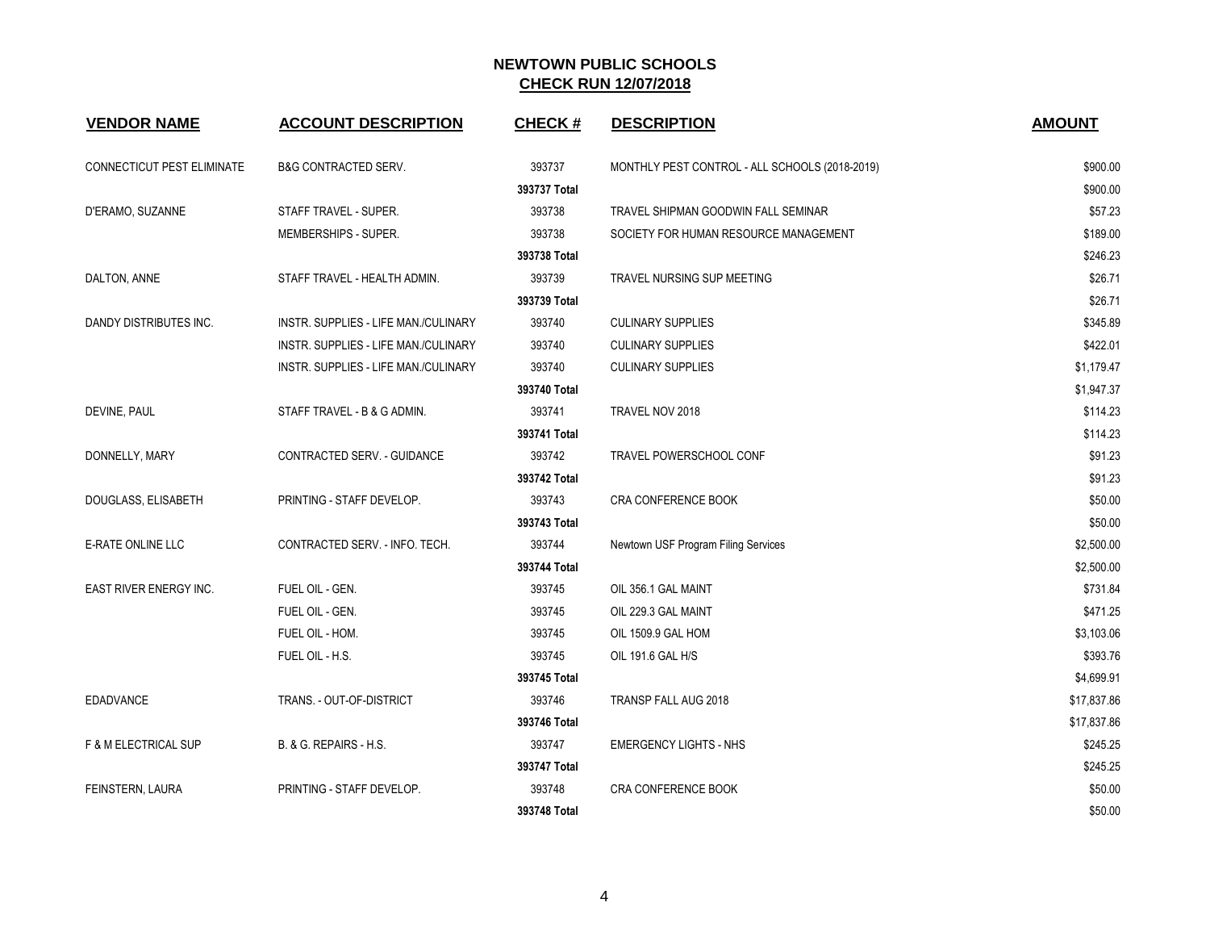| <b>VENDOR NAME</b>              | <b>ACCOUNT DESCRIPTION</b>           | <b>CHECK#</b> | <b>DESCRIPTION</b>                             | <b>AMOUNT</b> |
|---------------------------------|--------------------------------------|---------------|------------------------------------------------|---------------|
| CONNECTICUT PEST ELIMINATE      | <b>B&amp;G CONTRACTED SERV.</b>      | 393737        | MONTHLY PEST CONTROL - ALL SCHOOLS (2018-2019) | \$900.00      |
|                                 |                                      | 393737 Total  |                                                | \$900.00      |
| D'ERAMO, SUZANNE                | STAFF TRAVEL - SUPER.                | 393738        | TRAVEL SHIPMAN GOODWIN FALL SEMINAR            | \$57.23       |
|                                 | MEMBERSHIPS - SUPER.                 | 393738        | SOCIETY FOR HUMAN RESOURCE MANAGEMENT          | \$189.00      |
|                                 |                                      | 393738 Total  |                                                | \$246.23      |
| DALTON, ANNE                    | STAFF TRAVEL - HEALTH ADMIN.         | 393739        | TRAVEL NURSING SUP MEETING                     | \$26.71       |
|                                 |                                      | 393739 Total  |                                                | \$26.71       |
| DANDY DISTRIBUTES INC.          | INSTR. SUPPLIES - LIFE MAN./CULINARY | 393740        | <b>CULINARY SUPPLIES</b>                       | \$345.89      |
|                                 | INSTR. SUPPLIES - LIFE MAN./CULINARY | 393740        | <b>CULINARY SUPPLIES</b>                       | \$422.01      |
|                                 | INSTR. SUPPLIES - LIFE MAN./CULINARY | 393740        | <b>CULINARY SUPPLIES</b>                       | \$1,179.47    |
|                                 |                                      | 393740 Total  |                                                | \$1,947.37    |
| DEVINE, PAUL                    | STAFF TRAVEL - B & G ADMIN.          | 393741        | TRAVEL NOV 2018                                | \$114.23      |
|                                 |                                      | 393741 Total  |                                                | \$114.23      |
| DONNELLY, MARY                  | CONTRACTED SERV. - GUIDANCE          | 393742        | TRAVEL POWERSCHOOL CONF                        | \$91.23       |
|                                 |                                      | 393742 Total  |                                                | \$91.23       |
| DOUGLASS, ELISABETH             | PRINTING - STAFF DEVELOP.            | 393743        | <b>CRA CONFERENCE BOOK</b>                     | \$50.00       |
|                                 |                                      | 393743 Total  |                                                | \$50.00       |
| <b>E-RATE ONLINE LLC</b>        | CONTRACTED SERV. - INFO. TECH.       | 393744        | Newtown USF Program Filing Services            | \$2,500.00    |
|                                 |                                      | 393744 Total  |                                                | \$2,500.00    |
| EAST RIVER ENERGY INC.          | FUEL OIL - GEN.                      | 393745        | OIL 356.1 GAL MAINT                            | \$731.84      |
|                                 | FUEL OIL - GEN.                      | 393745        | OIL 229.3 GAL MAINT                            | \$471.25      |
|                                 | FUEL OIL - HOM.                      | 393745        | OIL 1509.9 GAL HOM                             | \$3,103.06    |
|                                 | FUEL OIL - H.S.                      | 393745        | OIL 191.6 GAL H/S                              | \$393.76      |
|                                 |                                      | 393745 Total  |                                                | \$4,699.91    |
| <b>EDADVANCE</b>                | TRANS. - OUT-OF-DISTRICT             | 393746        | TRANSP FALL AUG 2018                           | \$17,837.86   |
|                                 |                                      | 393746 Total  |                                                | \$17,837.86   |
| <b>F &amp; M ELECTRICAL SUP</b> | B. & G. REPAIRS - H.S.               | 393747        | <b>EMERGENCY LIGHTS - NHS</b>                  | \$245.25      |
|                                 |                                      | 393747 Total  |                                                | \$245.25      |
| FEINSTERN, LAURA                | PRINTING - STAFF DEVELOP.            | 393748        | <b>CRA CONFERENCE BOOK</b>                     | \$50.00       |
|                                 |                                      | 393748 Total  |                                                | \$50.00       |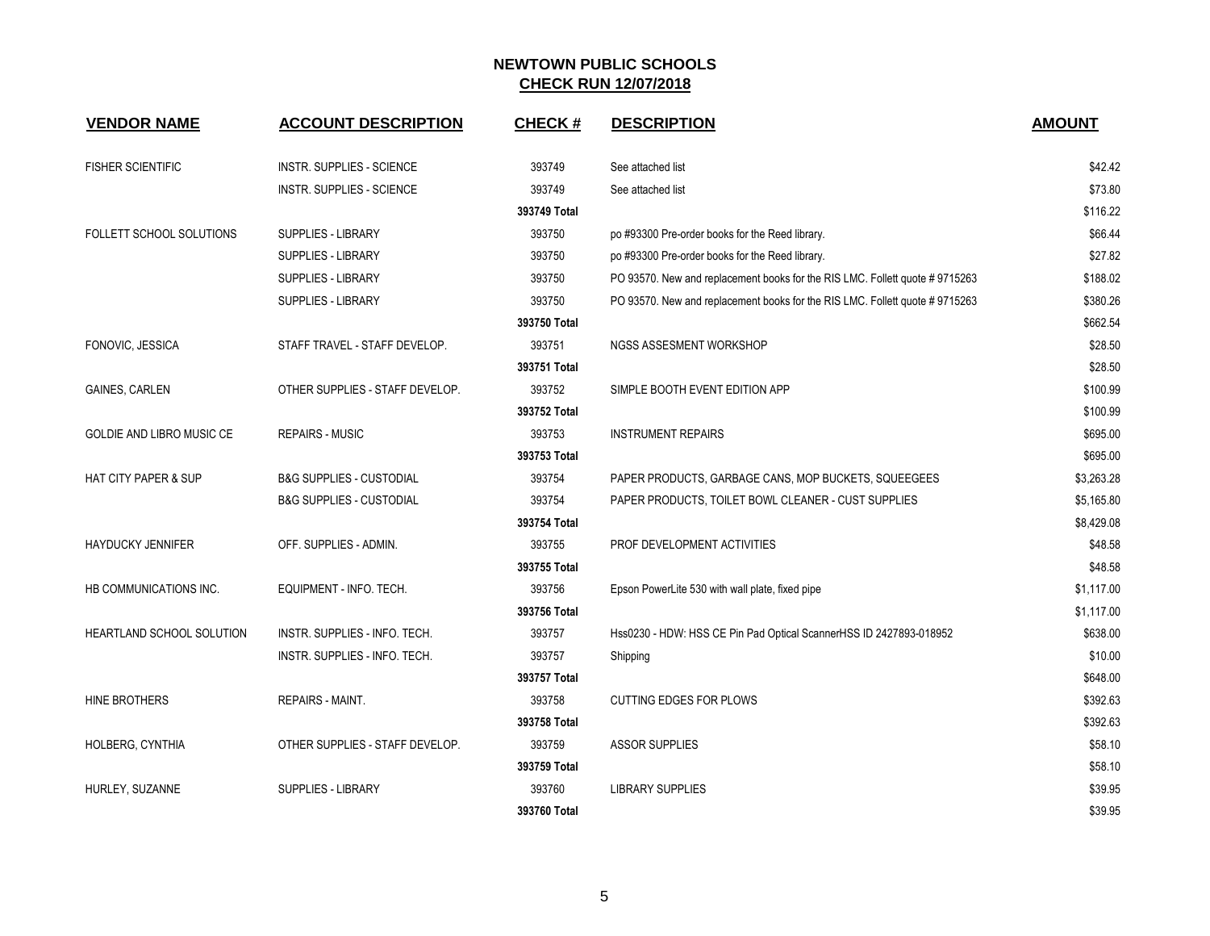| <b>VENDOR NAME</b>               | <b>ACCOUNT DESCRIPTION</b>          | <b>CHECK#</b> | <b>DESCRIPTION</b>                                                           | <b>AMOUNT</b> |
|----------------------------------|-------------------------------------|---------------|------------------------------------------------------------------------------|---------------|
| <b>FISHER SCIENTIFIC</b>         | INSTR. SUPPLIES - SCIENCE           | 393749        | See attached list                                                            | \$42.42       |
|                                  | INSTR. SUPPLIES - SCIENCE           | 393749        | See attached list                                                            | \$73.80       |
|                                  |                                     | 393749 Total  |                                                                              | \$116.22      |
| FOLLETT SCHOOL SOLUTIONS         | SUPPLIES - LIBRARY                  | 393750        | po #93300 Pre-order books for the Reed library.                              | \$66.44       |
|                                  | <b>SUPPLIES - LIBRARY</b>           | 393750        | po #93300 Pre-order books for the Reed library.                              | \$27.82       |
|                                  | <b>SUPPLIES - LIBRARY</b>           | 393750        | PO 93570. New and replacement books for the RIS LMC. Follett quote # 9715263 | \$188.02      |
|                                  | <b>SUPPLIES - LIBRARY</b>           | 393750        | PO 93570. New and replacement books for the RIS LMC. Follett quote #9715263  | \$380.26      |
|                                  |                                     | 393750 Total  |                                                                              | \$662.54      |
| FONOVIC, JESSICA                 | STAFF TRAVEL - STAFF DEVELOP.       | 393751        | NGSS ASSESMENT WORKSHOP                                                      | \$28.50       |
|                                  |                                     | 393751 Total  |                                                                              | \$28.50       |
| GAINES, CARLEN                   | OTHER SUPPLIES - STAFF DEVELOP.     | 393752        | SIMPLE BOOTH EVENT EDITION APP                                               | \$100.99      |
|                                  |                                     | 393752 Total  |                                                                              | \$100.99      |
| <b>GOLDIE AND LIBRO MUSIC CE</b> | <b>REPAIRS - MUSIC</b>              | 393753        | <b>INSTRUMENT REPAIRS</b>                                                    | \$695.00      |
|                                  |                                     | 393753 Total  |                                                                              | \$695.00      |
| <b>HAT CITY PAPER &amp; SUP</b>  | <b>B&amp;G SUPPLIES - CUSTODIAL</b> | 393754        | PAPER PRODUCTS, GARBAGE CANS, MOP BUCKETS, SQUEEGEES                         | \$3,263.28    |
|                                  | <b>B&amp;G SUPPLIES - CUSTODIAL</b> | 393754        | PAPER PRODUCTS, TOILET BOWL CLEANER - CUST SUPPLIES                          | \$5,165.80    |
|                                  |                                     | 393754 Total  |                                                                              | \$8,429.08    |
| <b>HAYDUCKY JENNIFER</b>         | OFF. SUPPLIES - ADMIN.              | 393755        | PROF DEVELOPMENT ACTIVITIES                                                  | \$48.58       |
|                                  |                                     | 393755 Total  |                                                                              | \$48.58       |
| HB COMMUNICATIONS INC.           | EQUIPMENT - INFO. TECH.             | 393756        | Epson PowerLite 530 with wall plate, fixed pipe                              | \$1,117.00    |
|                                  |                                     | 393756 Total  |                                                                              | \$1,117.00    |
| <b>HEARTLAND SCHOOL SOLUTION</b> | INSTR. SUPPLIES - INFO. TECH.       | 393757        | Hss0230 - HDW: HSS CE Pin Pad Optical ScannerHSS ID 2427893-018952           | \$638.00      |
|                                  | INSTR. SUPPLIES - INFO. TECH.       | 393757        | Shipping                                                                     | \$10.00       |
|                                  |                                     | 393757 Total  |                                                                              | \$648.00      |
| HINE BROTHERS                    | <b>REPAIRS - MAINT.</b>             | 393758        | <b>CUTTING EDGES FOR PLOWS</b>                                               | \$392.63      |
|                                  |                                     | 393758 Total  |                                                                              | \$392.63      |
| HOLBERG, CYNTHIA                 | OTHER SUPPLIES - STAFF DEVELOP.     | 393759        | <b>ASSOR SUPPLIES</b>                                                        | \$58.10       |
|                                  |                                     | 393759 Total  |                                                                              | \$58.10       |
| HURLEY, SUZANNE                  | <b>SUPPLIES - LIBRARY</b>           | 393760        | <b>LIBRARY SUPPLIES</b>                                                      | \$39.95       |
|                                  |                                     | 393760 Total  |                                                                              | \$39.95       |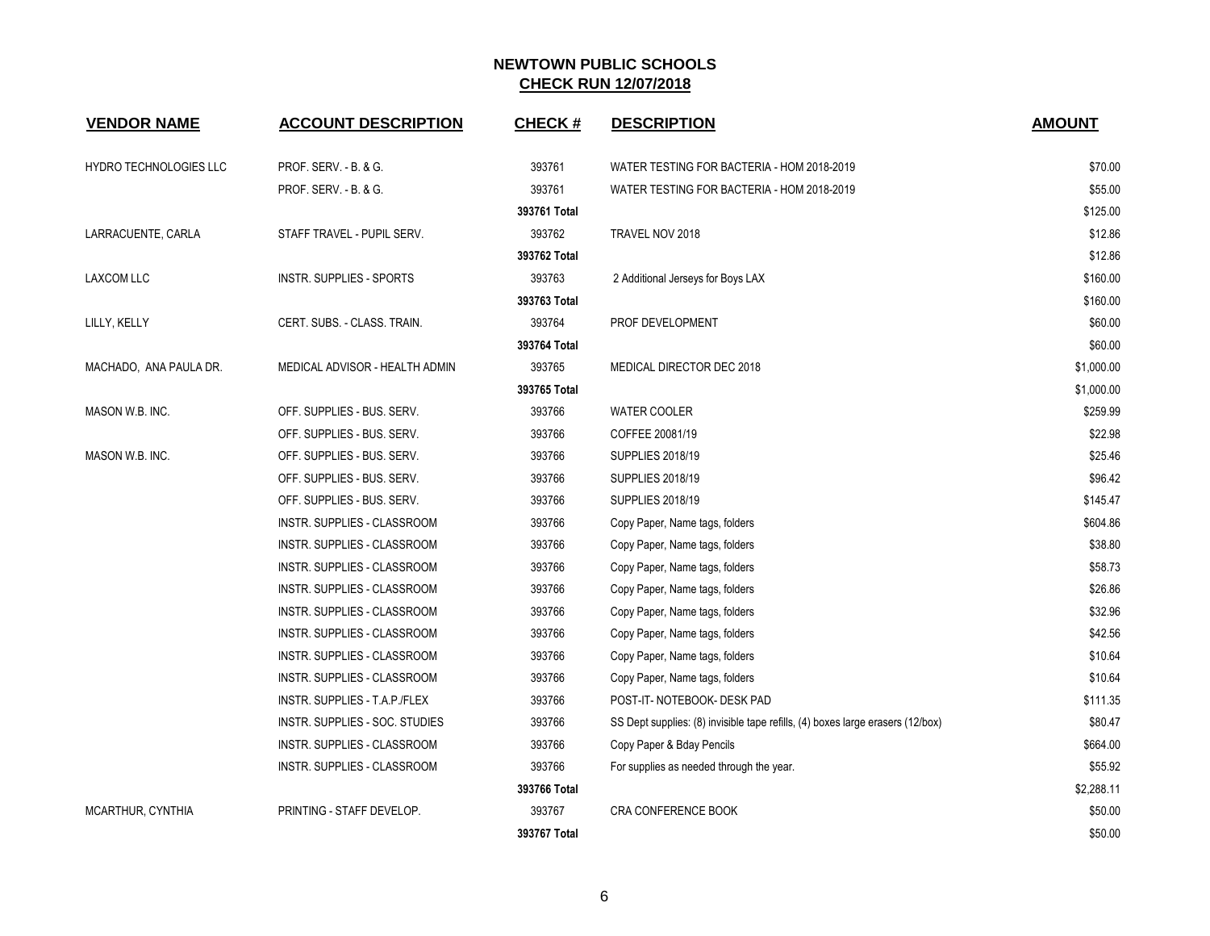| <b>VENDOR NAME</b>     | <b>ACCOUNT DESCRIPTION</b>     | <b>CHECK#</b> | <b>DESCRIPTION</b>                                                             | <b>AMOUNT</b> |
|------------------------|--------------------------------|---------------|--------------------------------------------------------------------------------|---------------|
| HYDRO TECHNOLOGIES LLC | PROF. SERV. - B. & G.          | 393761        | WATER TESTING FOR BACTERIA - HOM 2018-2019                                     | \$70.00       |
|                        | PROF. SERV. - B. & G.          | 393761        | WATER TESTING FOR BACTERIA - HOM 2018-2019                                     | \$55.00       |
|                        |                                | 393761 Total  |                                                                                | \$125.00      |
| LARRACUENTE, CARLA     | STAFF TRAVEL - PUPIL SERV.     | 393762        | TRAVEL NOV 2018                                                                | \$12.86       |
|                        |                                | 393762 Total  |                                                                                | \$12.86       |
| LAXCOM LLC             | INSTR. SUPPLIES - SPORTS       | 393763        | 2 Additional Jerseys for Boys LAX                                              | \$160.00      |
|                        |                                | 393763 Total  |                                                                                | \$160.00      |
| LILLY, KELLY           | CERT. SUBS. - CLASS. TRAIN.    | 393764        | PROF DEVELOPMENT                                                               | \$60.00       |
|                        |                                | 393764 Total  |                                                                                | \$60.00       |
| MACHADO, ANA PAULA DR. | MEDICAL ADVISOR - HEALTH ADMIN | 393765        | MEDICAL DIRECTOR DEC 2018                                                      | \$1,000.00    |
|                        |                                | 393765 Total  |                                                                                | \$1,000.00    |
| MASON W.B. INC.        | OFF. SUPPLIES - BUS. SERV.     | 393766        | <b>WATER COOLER</b>                                                            | \$259.99      |
|                        | OFF. SUPPLIES - BUS. SERV.     | 393766        | COFFEE 20081/19                                                                | \$22.98       |
| MASON W.B. INC.        | OFF. SUPPLIES - BUS. SERV.     | 393766        | <b>SUPPLIES 2018/19</b>                                                        | \$25.46       |
|                        | OFF. SUPPLIES - BUS. SERV.     | 393766        | <b>SUPPLIES 2018/19</b>                                                        | \$96.42       |
|                        | OFF. SUPPLIES - BUS. SERV.     | 393766        | <b>SUPPLIES 2018/19</b>                                                        | \$145.47      |
|                        | INSTR. SUPPLIES - CLASSROOM    | 393766        | Copy Paper, Name tags, folders                                                 | \$604.86      |
|                        | INSTR. SUPPLIES - CLASSROOM    | 393766        | Copy Paper, Name tags, folders                                                 | \$38.80       |
|                        | INSTR. SUPPLIES - CLASSROOM    | 393766        | Copy Paper, Name tags, folders                                                 | \$58.73       |
|                        | INSTR. SUPPLIES - CLASSROOM    | 393766        | Copy Paper, Name tags, folders                                                 | \$26.86       |
|                        | INSTR. SUPPLIES - CLASSROOM    | 393766        | Copy Paper, Name tags, folders                                                 | \$32.96       |
|                        | INSTR. SUPPLIES - CLASSROOM    | 393766        | Copy Paper, Name tags, folders                                                 | \$42.56       |
|                        | INSTR. SUPPLIES - CLASSROOM    | 393766        | Copy Paper, Name tags, folders                                                 | \$10.64       |
|                        | INSTR. SUPPLIES - CLASSROOM    | 393766        | Copy Paper, Name tags, folders                                                 | \$10.64       |
|                        | INSTR. SUPPLIES - T.A.P./FLEX  | 393766        | POST-IT-NOTEBOOK- DESK PAD                                                     | \$111.35      |
|                        | INSTR. SUPPLIES - SOC. STUDIES | 393766        | SS Dept supplies: (8) invisible tape refills, (4) boxes large erasers (12/box) | \$80.47       |
|                        | INSTR. SUPPLIES - CLASSROOM    | 393766        | Copy Paper & Bday Pencils                                                      | \$664.00      |
|                        | INSTR. SUPPLIES - CLASSROOM    | 393766        | For supplies as needed through the year.                                       | \$55.92       |
|                        |                                | 393766 Total  |                                                                                | \$2,288.11    |
| MCARTHUR, CYNTHIA      | PRINTING - STAFF DEVELOP.      | 393767        | CRA CONFERENCE BOOK                                                            | \$50.00       |
|                        |                                | 393767 Total  |                                                                                | \$50.00       |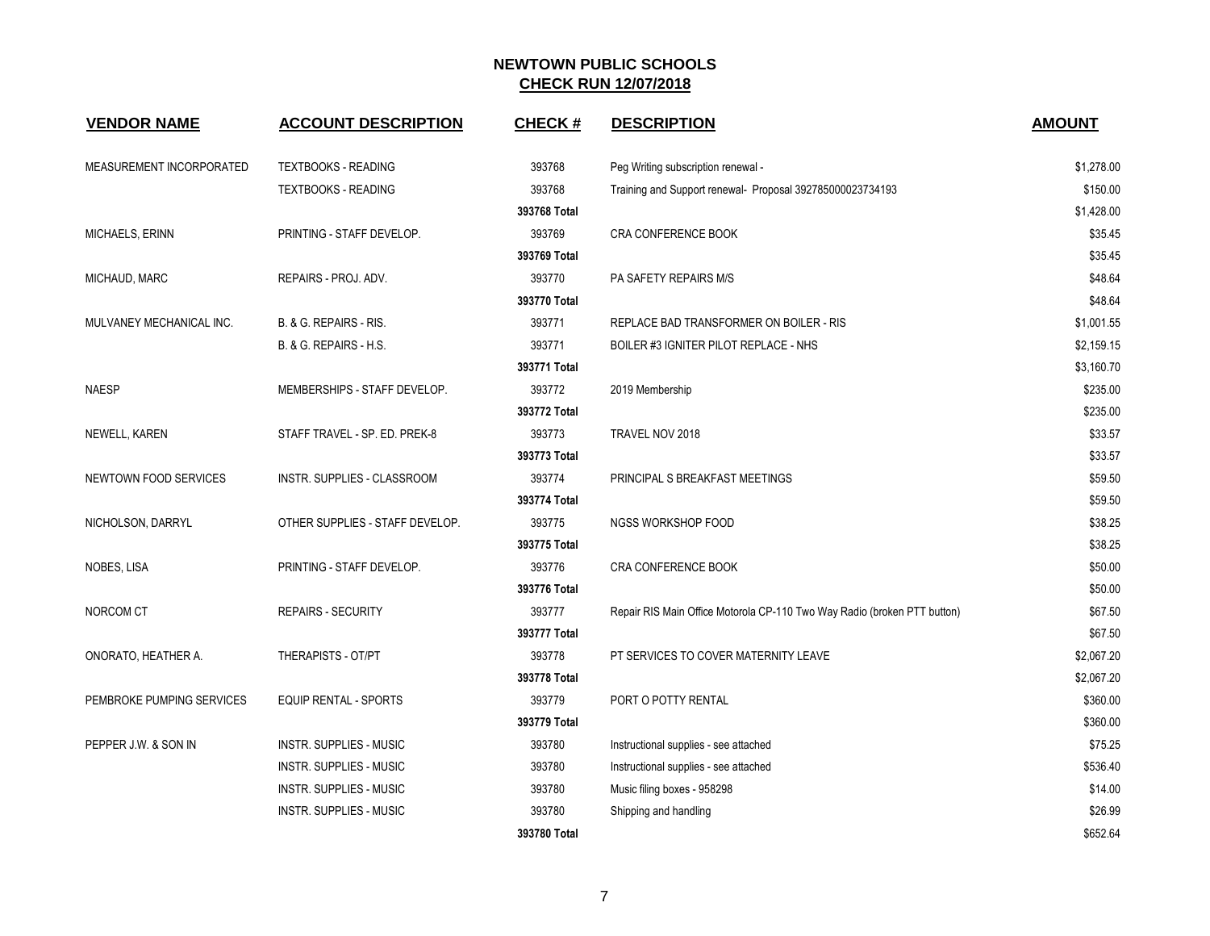| <b>VENDOR NAME</b>        | <b>ACCOUNT DESCRIPTION</b>      | <b>CHECK#</b> | <b>DESCRIPTION</b>                                                       | <b>AMOUNT</b> |
|---------------------------|---------------------------------|---------------|--------------------------------------------------------------------------|---------------|
| MEASUREMENT INCORPORATED  | <b>TEXTBOOKS - READING</b>      | 393768        | Peg Writing subscription renewal -                                       | \$1,278.00    |
|                           | <b>TEXTBOOKS - READING</b>      | 393768        | Training and Support renewal- Proposal 392785000023734193                | \$150.00      |
|                           |                                 | 393768 Total  |                                                                          | \$1,428.00    |
| <b>MICHAELS, ERINN</b>    | PRINTING - STAFF DEVELOP.       | 393769        | CRA CONFERENCE BOOK                                                      | \$35.45       |
|                           |                                 | 393769 Total  |                                                                          | \$35.45       |
| MICHAUD, MARC             | REPAIRS - PROJ. ADV.            | 393770        | PA SAFETY REPAIRS M/S                                                    | \$48.64       |
|                           |                                 | 393770 Total  |                                                                          | \$48.64       |
| MULVANEY MECHANICAL INC.  | B. & G. REPAIRS - RIS.          | 393771        | REPLACE BAD TRANSFORMER ON BOILER - RIS                                  | \$1,001.55    |
|                           | B. & G. REPAIRS - H.S.          | 393771        | BOILER #3 IGNITER PILOT REPLACE - NHS                                    | \$2,159.15    |
|                           |                                 | 393771 Total  |                                                                          | \$3,160.70    |
| <b>NAESP</b>              | MEMBERSHIPS - STAFF DEVELOP.    | 393772        | 2019 Membership                                                          | \$235.00      |
|                           |                                 | 393772 Total  |                                                                          | \$235.00      |
| NEWELL, KAREN             | STAFF TRAVEL - SP. ED. PREK-8   | 393773        | TRAVEL NOV 2018                                                          | \$33.57       |
|                           |                                 | 393773 Total  |                                                                          | \$33.57       |
| NEWTOWN FOOD SERVICES     | INSTR. SUPPLIES - CLASSROOM     | 393774        | PRINCIPAL S BREAKFAST MEETINGS                                           | \$59.50       |
|                           |                                 | 393774 Total  |                                                                          | \$59.50       |
| NICHOLSON, DARRYL         | OTHER SUPPLIES - STAFF DEVELOP. | 393775        | NGSS WORKSHOP FOOD                                                       | \$38.25       |
|                           |                                 | 393775 Total  |                                                                          | \$38.25       |
| NOBES, LISA               | PRINTING - STAFF DEVELOP.       | 393776        | CRA CONFERENCE BOOK                                                      | \$50.00       |
|                           |                                 | 393776 Total  |                                                                          | \$50.00       |
| NORCOM CT                 | <b>REPAIRS - SECURITY</b>       | 393777        | Repair RIS Main Office Motorola CP-110 Two Way Radio (broken PTT button) | \$67.50       |
|                           |                                 | 393777 Total  |                                                                          | \$67.50       |
| ONORATO, HEATHER A.       | THERAPISTS - OT/PT              | 393778        | PT SERVICES TO COVER MATERNITY LEAVE                                     | \$2,067.20    |
|                           |                                 | 393778 Total  |                                                                          | \$2,067.20    |
| PEMBROKE PUMPING SERVICES | <b>EQUIP RENTAL - SPORTS</b>    | 393779        | PORT O POTTY RENTAL                                                      | \$360.00      |
|                           |                                 | 393779 Total  |                                                                          | \$360.00      |
| PEPPER J.W. & SON IN      | <b>INSTR. SUPPLIES - MUSIC</b>  | 393780        | Instructional supplies - see attached                                    | \$75.25       |
|                           | <b>INSTR. SUPPLIES - MUSIC</b>  | 393780        | Instructional supplies - see attached                                    | \$536.40      |
|                           | <b>INSTR. SUPPLIES - MUSIC</b>  | 393780        | Music filing boxes - 958298                                              | \$14.00       |
|                           | <b>INSTR. SUPPLIES - MUSIC</b>  | 393780        | Shipping and handling                                                    | \$26.99       |
|                           |                                 | 393780 Total  |                                                                          | \$652.64      |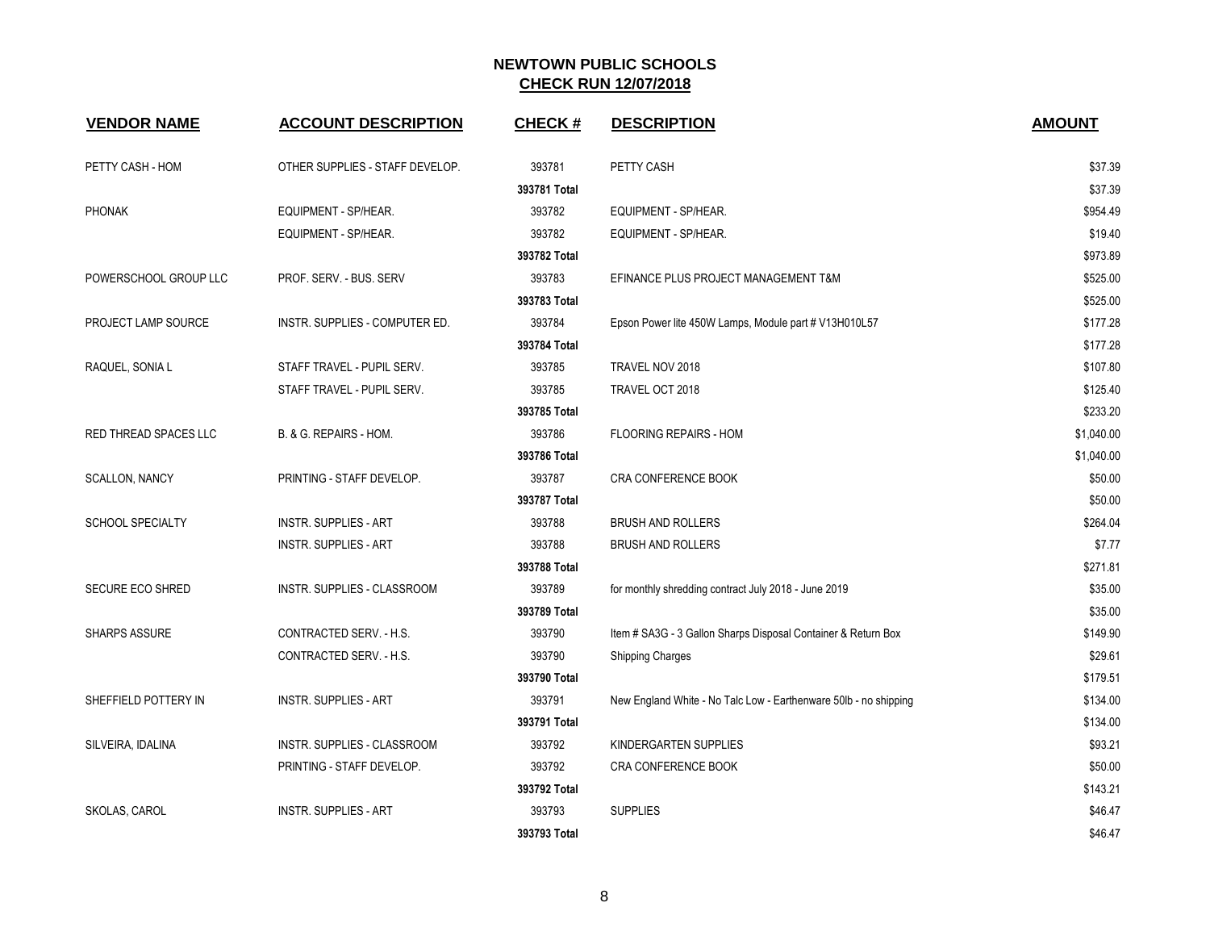| <b>VENDOR NAME</b>           | <b>ACCOUNT DESCRIPTION</b>      | <b>CHECK#</b> | <b>DESCRIPTION</b>                                               | <b>AMOUNT</b> |
|------------------------------|---------------------------------|---------------|------------------------------------------------------------------|---------------|
| PETTY CASH - HOM             | OTHER SUPPLIES - STAFF DEVELOP. | 393781        | PETTY CASH                                                       | \$37.39       |
|                              |                                 | 393781 Total  |                                                                  | \$37.39       |
| <b>PHONAK</b>                | EQUIPMENT - SP/HEAR.            | 393782        | EQUIPMENT - SP/HEAR.                                             | \$954.49      |
|                              | EQUIPMENT - SP/HEAR.            | 393782        | EQUIPMENT - SP/HEAR.                                             | \$19.40       |
|                              |                                 | 393782 Total  |                                                                  | \$973.89      |
| POWERSCHOOL GROUP LLC        | PROF. SERV. - BUS. SERV         | 393783        | EFINANCE PLUS PROJECT MANAGEMENT T&M                             | \$525.00      |
|                              |                                 | 393783 Total  |                                                                  | \$525.00      |
| PROJECT LAMP SOURCE          | INSTR. SUPPLIES - COMPUTER ED.  | 393784        | Epson Power lite 450W Lamps, Module part # V13H010L57            | \$177.28      |
|                              |                                 | 393784 Total  |                                                                  | \$177.28      |
| RAQUEL, SONIA L              | STAFF TRAVEL - PUPIL SERV.      | 393785        | TRAVEL NOV 2018                                                  | \$107.80      |
|                              | STAFF TRAVEL - PUPIL SERV.      | 393785        | TRAVEL OCT 2018                                                  | \$125.40      |
|                              |                                 | 393785 Total  |                                                                  | \$233.20      |
| <b>RED THREAD SPACES LLC</b> | B. & G. REPAIRS - HOM.          | 393786        | <b>FLOORING REPAIRS - HOM</b>                                    | \$1,040.00    |
|                              |                                 | 393786 Total  |                                                                  | \$1,040.00    |
| <b>SCALLON, NANCY</b>        | PRINTING - STAFF DEVELOP.       | 393787        | CRA CONFERENCE BOOK                                              | \$50.00       |
|                              |                                 | 393787 Total  |                                                                  | \$50.00       |
| <b>SCHOOL SPECIALTY</b>      | <b>INSTR. SUPPLIES - ART</b>    | 393788        | <b>BRUSH AND ROLLERS</b>                                         | \$264.04      |
|                              | <b>INSTR. SUPPLIES - ART</b>    | 393788        | <b>BRUSH AND ROLLERS</b>                                         | \$7.77        |
|                              |                                 | 393788 Total  |                                                                  | \$271.81      |
| <b>SECURE ECO SHRED</b>      | INSTR. SUPPLIES - CLASSROOM     | 393789        | for monthly shredding contract July 2018 - June 2019             | \$35.00       |
|                              |                                 | 393789 Total  |                                                                  | \$35.00       |
| <b>SHARPS ASSURE</b>         | CONTRACTED SERV. - H.S.         | 393790        | Item # SA3G - 3 Gallon Sharps Disposal Container & Return Box    | \$149.90      |
|                              | CONTRACTED SERV. - H.S.         | 393790        | <b>Shipping Charges</b>                                          | \$29.61       |
|                              |                                 | 393790 Total  |                                                                  | \$179.51      |
| SHEFFIELD POTTERY IN         | <b>INSTR. SUPPLIES - ART</b>    | 393791        | New England White - No Talc Low - Earthenware 50lb - no shipping | \$134.00      |
|                              |                                 | 393791 Total  |                                                                  | \$134.00      |
| SILVEIRA, IDALINA            | INSTR. SUPPLIES - CLASSROOM     | 393792        | KINDERGARTEN SUPPLIES                                            | \$93.21       |
|                              | PRINTING - STAFF DEVELOP.       | 393792        | CRA CONFERENCE BOOK                                              | \$50.00       |
|                              |                                 | 393792 Total  |                                                                  | \$143.21      |
| SKOLAS, CAROL                | <b>INSTR. SUPPLIES - ART</b>    | 393793        | <b>SUPPLIES</b>                                                  | \$46.47       |
|                              |                                 | 393793 Total  |                                                                  | \$46.47       |